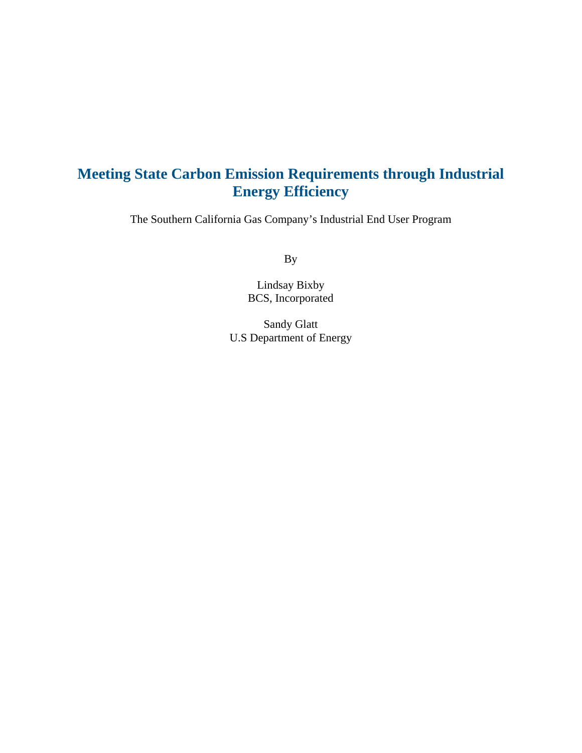# **Meeting State Carbon Emission Requirements through Industrial Energy Efficiency**

The Southern California Gas Company's Industrial End User Program

By

Lindsay Bixby BCS, Incorporated

Sandy Glatt U.S Department of Energy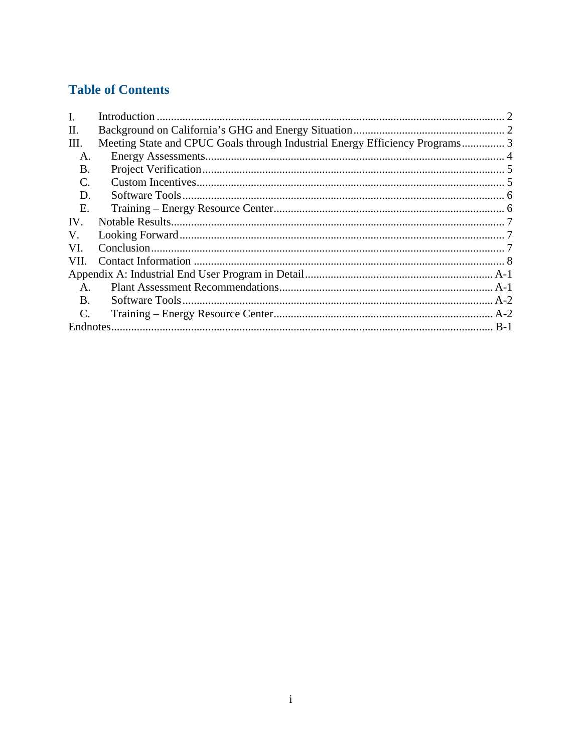# **Table of Contents**

| $\mathbf{I}$ .  |                                                                              |  |  |  |  |
|-----------------|------------------------------------------------------------------------------|--|--|--|--|
| П.              |                                                                              |  |  |  |  |
| III.            | Meeting State and CPUC Goals through Industrial Energy Efficiency Programs 3 |  |  |  |  |
| A.              |                                                                              |  |  |  |  |
| В.              |                                                                              |  |  |  |  |
| C.              |                                                                              |  |  |  |  |
| D.              |                                                                              |  |  |  |  |
| Е.              |                                                                              |  |  |  |  |
| IV.             |                                                                              |  |  |  |  |
| V.              |                                                                              |  |  |  |  |
| VI.             |                                                                              |  |  |  |  |
| VII.            |                                                                              |  |  |  |  |
|                 |                                                                              |  |  |  |  |
| $\mathsf{A}$ .  |                                                                              |  |  |  |  |
| B.              |                                                                              |  |  |  |  |
| $\mathcal{C}$ . |                                                                              |  |  |  |  |
|                 |                                                                              |  |  |  |  |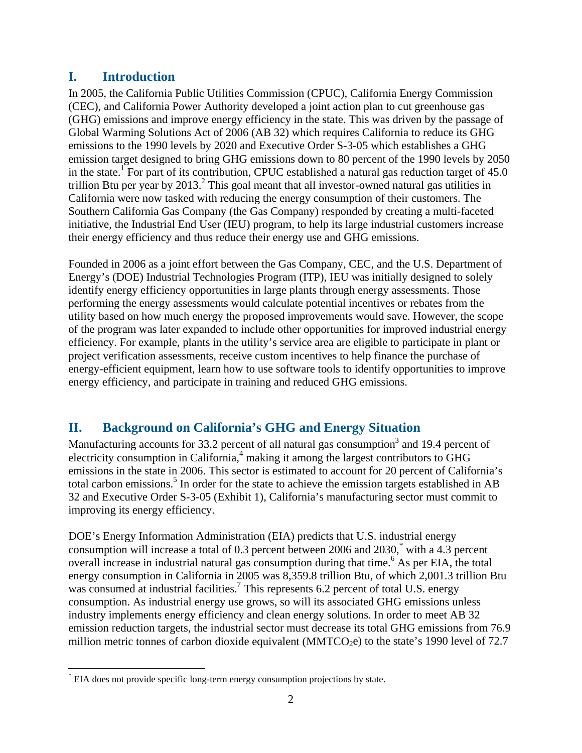## **I. Introduction**

In 2005, the California Public Utilities Commission (CPUC), California Energy Commission (CEC), and California Power Authority developed a joint action plan to cut greenhouse gas (GHG) emissions and improve energy efficiency in the state. This was driven by the passage of Global Warming Solutions Act of 2006 (AB 32) which requires California to reduce its GHG emissions to the 1990 levels by 2020 and Executive Order S-3-05 which establishes a GHG emission target designed to bring GHG emissions down to 80 percent of the 1990 levels by 2050 in the state.<sup>1</sup> For part of its contribution, CPUC established a natural gas reduction target of  $45.0$ trillion Btu per year by  $2013<sup>2</sup>$ . This goal meant that all investor-owned natural gas utilities in California were now tasked with reducing the energy consumption of their customers. The Southern California Gas Company (the Gas Company) responded by creating a multi-faceted initiative, the Industrial End User (IEU) program, to help its large industrial customers increase their energy efficiency and thus reduce their energy use and GHG emissions.

Founded in 2006 as a joint effort between the Gas Company, CEC, and the U.S. Department of Energy's (DOE) Industrial Technologies Program (ITP), IEU was initially designed to solely identify energy efficiency opportunities in large plants through energy assessments. Those performing the energy assessments would calculate potential incentives or rebates from the utility based on how much energy the proposed improvements would save. However, the scope of the program was later expanded to include other opportunities for improved industrial energy efficiency. For example, plants in the utility's service area are eligible to participate in plant or project verification assessments, receive custom incentives to help finance the purchase of energy-efficient equipment, learn how to use software tools to identify opportunities to improve energy efficiency, and participate in training and reduced GHG emissions.

# **II. Background on California's GHG and Energy Situation**

Manufacturing accounts for 33.2 percent of all natural gas consumption<sup>3</sup> and 19.4 percent of electricity consumption in California,<sup>4</sup> making it among the largest contributors to GHG emissions in the state in 2006. This sector is estimated to account for 20 percent of California's total carbon emissions.<sup>5</sup> In order for the state to achieve the emission targets established in AB 32 and Executive Order S-3-05 (Exhibit 1), California's manufacturing sector must commit to improving its energy efficiency.

DOE's Energy Information Administration (EIA) predicts that U.S. industrial energy consumption will increase a total of 0.3 percent between 2006 and 2030,<sup>\*</sup> with a 4.3 percent overall increase in industrial natural gas consumption during that time.<sup>6</sup> As per EIA, the total energy consumption in California in 2005 was 8,359.8 trillion Btu, of which 2,001.3 trillion Btu was consumed at industrial facilities.<sup>7</sup> This represents 6.2 percent of total U.S. energy consumption. As industrial energy use grows, so will its associated GHG emissions unless industry implements energy efficiency and clean energy solutions. In order to meet AB 32 emission reduction targets, the industrial sector must decrease its total GHG emissions from 76.9 million metric tonnes of carbon dioxide equivalent (MMTCO<sub>2</sub>e) to the state's 1990 level of 72.7

 $\overline{a}$ \* EIA does not provide specific long-term energy consumption projections by state.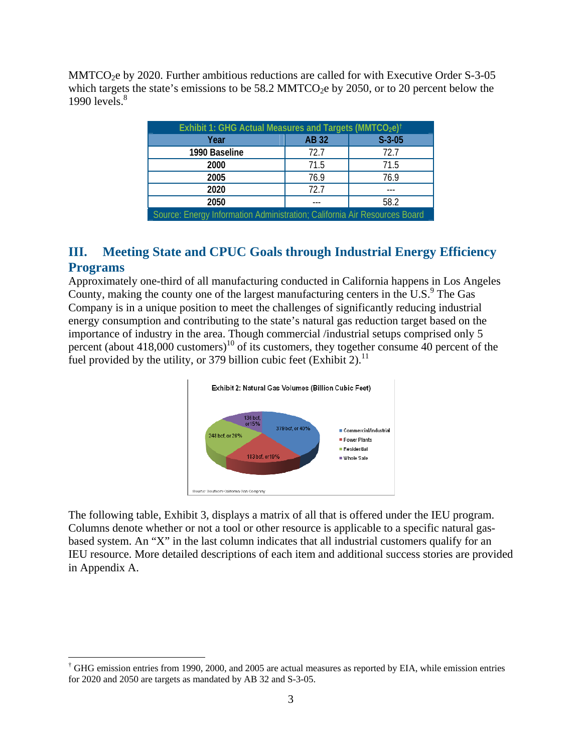MMTCO2e by 2020. Further ambitious reductions are called for with Executive Order S-3-05 which targets the state's emissions to be 58.2 MMTCO<sub>2</sub>e by 2050, or to 20 percent below the 1990 levels. $8<sup>8</sup>$ 

| Exhibit 1: GHG Actual Measures and Targets (MMTCO <sub>2</sub> e) <sup>†</sup> |              |          |  |  |  |  |
|--------------------------------------------------------------------------------|--------------|----------|--|--|--|--|
| Year                                                                           | <b>AB 32</b> | $S-3-05$ |  |  |  |  |
| 1990 Baseline                                                                  | 72.7         | 72.7     |  |  |  |  |
| 2000                                                                           | 71.5         | 71.5     |  |  |  |  |
| 2005                                                                           | 76.9         | 76.9     |  |  |  |  |
| 2020                                                                           | 72.7         |          |  |  |  |  |
| 2050                                                                           |              | 58.2     |  |  |  |  |
| Source: Energy Information Administration; California Air Resources Board      |              |          |  |  |  |  |

## **III. Meeting State and CPUC Goals through Industrial Energy Efficiency Programs**

Approximately one-third of all manufacturing conducted in California happens in Los Angeles County, making the county one of the largest manufacturing centers in the U.S. $9$  The Gas Company is in a unique position to meet the challenges of significantly reducing industrial energy consumption and contributing to the state's natural gas reduction target based on the importance of industry in the area. Though commercial /industrial setups comprised only 5 percent (about  $418,000$  customers)<sup>10</sup> of its customers, they together consume 40 percent of the fuel provided by the utility, or 379 billion cubic feet (Exhibit 2).<sup>11</sup>



The following table, Exhibit 3, displays a matrix of all that is offered under the IEU program. Columns denote whether or not a tool or other resource is applicable to a specific natural gasbased system. An "X" in the last column indicates that all industrial customers qualify for an IEU resource. More detailed descriptions of each item and additional success stories are provided in Appendix A.

1

<sup>&</sup>lt;sup>†</sup> GHG emission entries from 1990, 2000, and 2005 are actual measures as reported by EIA, while emission entries for 2020 and 2050 are targets as mandated by AB 32 and S-3-05.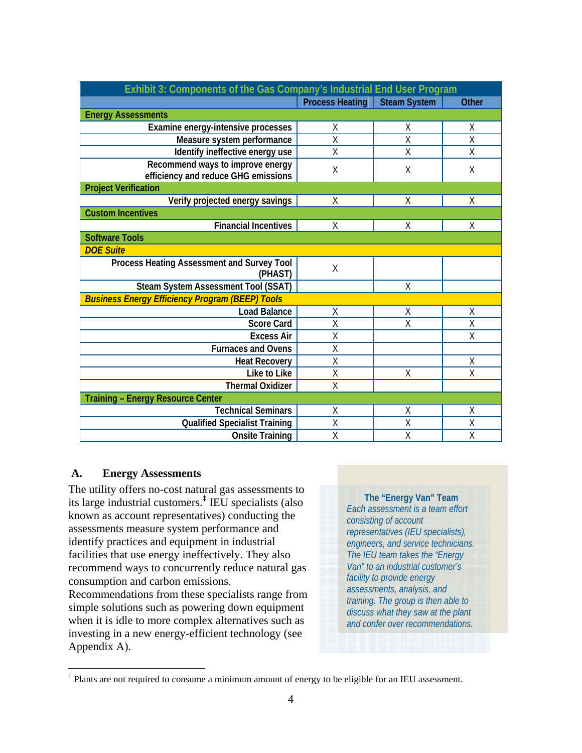| Exhibit 3: Components of the Gas Company's Industrial End User Program  |                        |                     |              |  |  |
|-------------------------------------------------------------------------|------------------------|---------------------|--------------|--|--|
|                                                                         | <b>Process Heating</b> | <b>Steam System</b> | <b>Other</b> |  |  |
| <b>Energy Assessments</b>                                               |                        |                     |              |  |  |
| Examine energy-intensive processes                                      | Χ                      | X                   | Χ            |  |  |
| Measure system performance                                              | X                      | Χ                   | Χ            |  |  |
| Identify ineffective energy use                                         | X                      | X                   | X            |  |  |
| Recommend ways to improve energy<br>efficiency and reduce GHG emissions | X                      | Χ                   | Χ            |  |  |
| <b>Project Verification</b>                                             |                        |                     |              |  |  |
| Verify projected energy savings                                         | X                      | X                   | Χ            |  |  |
| <b>Custom Incentives</b>                                                |                        |                     |              |  |  |
| <b>Financial Incentives</b>                                             | X                      | X                   | X            |  |  |
| <b>Software Tools</b>                                                   |                        |                     |              |  |  |
| <b>DOE Suite</b>                                                        |                        |                     |              |  |  |
| Process Heating Assessment and Survey Tool<br>(PHAST)                   | X                      |                     |              |  |  |
| Steam System Assessment Tool (SSAT)                                     |                        | χ                   |              |  |  |
| <b>Business Energy Efficiency Program (BEEP) Tools</b>                  |                        |                     |              |  |  |
| <b>Load Balance</b>                                                     | χ                      | X                   | Χ            |  |  |
| <b>Score Card</b>                                                       | Χ                      | Χ                   | Χ            |  |  |
| <b>Excess Air</b>                                                       | X                      |                     | X            |  |  |
| <b>Furnaces and Ovens</b>                                               | X                      |                     |              |  |  |
| <b>Heat Recovery</b>                                                    | X                      |                     | Χ            |  |  |
| Like to Like                                                            | Χ                      | X                   | Χ            |  |  |
| <b>Thermal Oxidizer</b>                                                 | X                      |                     |              |  |  |
| <b>Training - Energy Resource Center</b>                                |                        |                     |              |  |  |
| <b>Technical Seminars</b>                                               | Χ                      | Χ                   | Χ            |  |  |
| <b>Qualified Specialist Training</b>                                    | X                      | X                   | X            |  |  |
| <b>Onsite Training</b>                                                  | X                      | Χ                   | Χ            |  |  |

#### **A. Energy Assessments**

 $\overline{a}$ 

The utility offers no-cost natural gas assessments to its large industrial customers.**‡** IEU specialists (also known as account representatives) conducting the assessments measure system performance and identify practices and equipment in industrial facilities that use energy ineffectively. They also recommend ways to concurrently reduce natural gas consumption and carbon emissions.

Recommendations from these specialists range from simple solutions such as powering down equipment when it is idle to more complex alternatives such as investing in a new energy-efficient technology (see Appendix A).

**The "Energy Van" Team**  *Each assessment is a team effort consisting of account representatives (IEU specialists), engineers, and service technicians. The IEU team takes the "Energy Van" to an industrial customer's facility to provide energy assessments, analysis, and training. The group is then able to discuss what they saw at the plant and confer over recommendations.* 

<sup>‡</sup> Plants are not required to consume a minimum amount of energy to be eligible for an IEU assessment.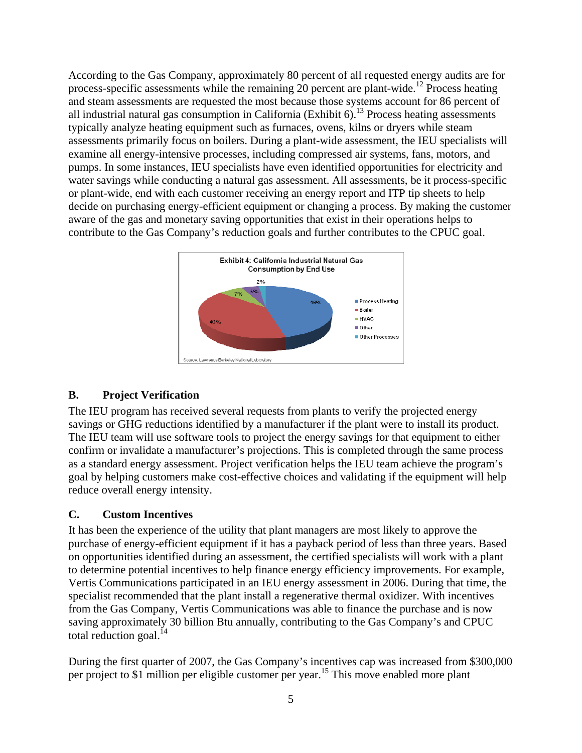According to the Gas Company, approximately 80 percent of all requested energy audits are for process-specific assessments while the remaining 20 percent are plant-wide.12 Process heating and steam assessments are requested the most because those systems account for 86 percent of all industrial natural gas consumption in California (Exhibit  $6$ ).<sup>13</sup> Process heating assessments typically analyze heating equipment such as furnaces, ovens, kilns or dryers while steam assessments primarily focus on boilers. During a plant-wide assessment, the IEU specialists will examine all energy-intensive processes, including compressed air systems, fans, motors, and pumps. In some instances, IEU specialists have even identified opportunities for electricity and water savings while conducting a natural gas assessment. All assessments, be it process-specific or plant-wide, end with each customer receiving an energy report and ITP tip sheets to help decide on purchasing energy-efficient equipment or changing a process. By making the customer aware of the gas and monetary saving opportunities that exist in their operations helps to contribute to the Gas Company's reduction goals and further contributes to the CPUC goal.



#### **B. Project Verification**

The IEU program has received several requests from plants to verify the projected energy savings or GHG reductions identified by a manufacturer if the plant were to install its product. The IEU team will use software tools to project the energy savings for that equipment to either confirm or invalidate a manufacturer's projections. This is completed through the same process as a standard energy assessment. Project verification helps the IEU team achieve the program's goal by helping customers make cost-effective choices and validating if the equipment will help reduce overall energy intensity.

### **C. Custom Incentives**

It has been the experience of the utility that plant managers are most likely to approve the purchase of energy-efficient equipment if it has a payback period of less than three years. Based on opportunities identified during an assessment, the certified specialists will work with a plant to determine potential incentives to help finance energy efficiency improvements. For example, Vertis Communications participated in an IEU energy assessment in 2006. During that time, the specialist recommended that the plant install a regenerative thermal oxidizer. With incentives from the Gas Company, Vertis Communications was able to finance the purchase and is now saving approximately 30 billion Btu annually, contributing to the Gas Company's and CPUC total reduction goal. $^{14}$ 

During the first quarter of 2007, the Gas Company's incentives cap was increased from \$300,000 per project to \$1 million per eligible customer per year.<sup>15</sup> This move enabled more plant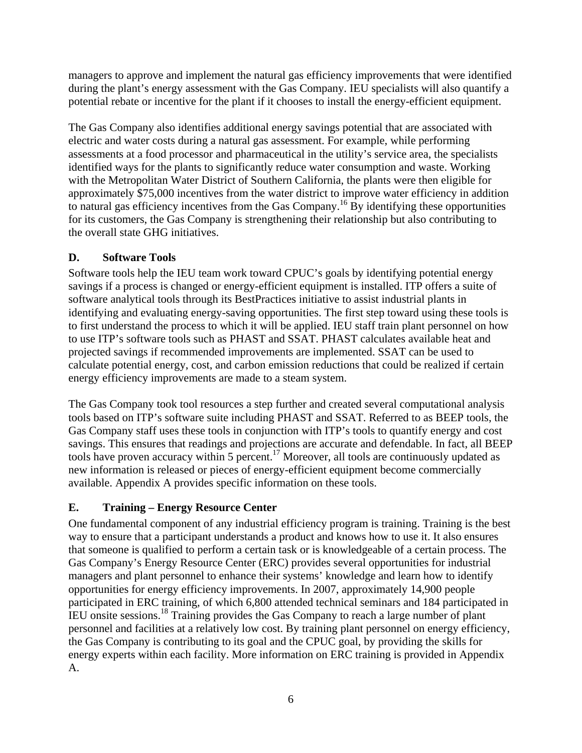managers to approve and implement the natural gas efficiency improvements that were identified during the plant's energy assessment with the Gas Company. IEU specialists will also quantify a potential rebate or incentive for the plant if it chooses to install the energy-efficient equipment.

The Gas Company also identifies additional energy savings potential that are associated with electric and water costs during a natural gas assessment. For example, while performing assessments at a food processor and pharmaceutical in the utility's service area, the specialists identified ways for the plants to significantly reduce water consumption and waste. Working with the Metropolitan Water District of Southern California, the plants were then eligible for approximately \$75,000 incentives from the water district to improve water efficiency in addition to natural gas efficiency incentives from the Gas Company.<sup>16</sup> By identifying these opportunities for its customers, the Gas Company is strengthening their relationship but also contributing to the overall state GHG initiatives.

### **D. Software Tools**

Software tools help the IEU team work toward CPUC's goals by identifying potential energy savings if a process is changed or energy-efficient equipment is installed. ITP offers a suite of software analytical tools through its BestPractices initiative to assist industrial plants in identifying and evaluating energy-saving opportunities. The first step toward using these tools is to first understand the process to which it will be applied. IEU staff train plant personnel on how to use ITP's software tools such as PHAST and SSAT. PHAST calculates available heat and projected savings if recommended improvements are implemented. SSAT can be used to calculate potential energy, cost, and carbon emission reductions that could be realized if certain energy efficiency improvements are made to a steam system.

The Gas Company took tool resources a step further and created several computational analysis tools based on ITP's software suite including PHAST and SSAT. Referred to as BEEP tools, the Gas Company staff uses these tools in conjunction with ITP's tools to quantify energy and cost savings. This ensures that readings and projections are accurate and defendable. In fact, all BEEP tools have proven accuracy within 5 percent.<sup>17</sup> Moreover, all tools are continuously updated as new information is released or pieces of energy-efficient equipment become commercially available. Appendix A provides specific information on these tools.

## **E. Training – Energy Resource Center**

One fundamental component of any industrial efficiency program is training. Training is the best way to ensure that a participant understands a product and knows how to use it. It also ensures that someone is qualified to perform a certain task or is knowledgeable of a certain process. The Gas Company's Energy Resource Center (ERC) provides several opportunities for industrial managers and plant personnel to enhance their systems' knowledge and learn how to identify opportunities for energy efficiency improvements. In 2007, approximately 14,900 people participated in ERC training, of which 6,800 attended technical seminars and 184 participated in IEU onsite sessions.18 Training provides the Gas Company to reach a large number of plant personnel and facilities at a relatively low cost. By training plant personnel on energy efficiency, the Gas Company is contributing to its goal and the CPUC goal, by providing the skills for energy experts within each facility. More information on ERC training is provided in Appendix A.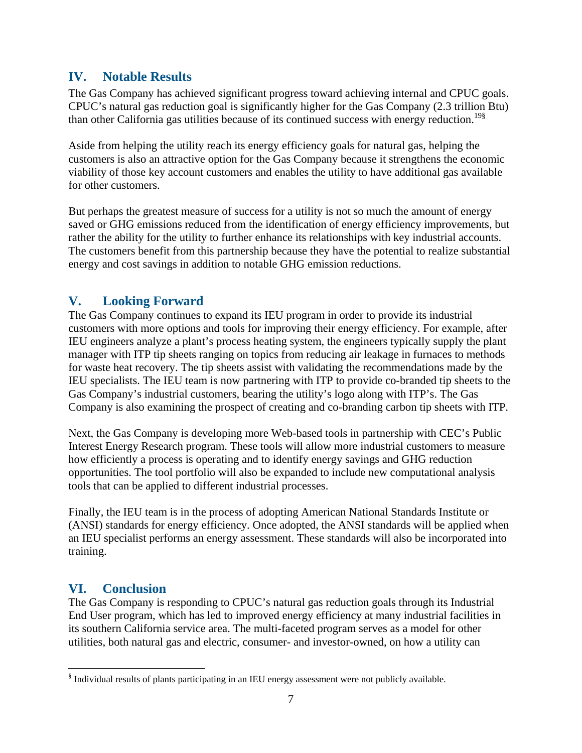### **IV. Notable Results**

The Gas Company has achieved significant progress toward achieving internal and CPUC goals. CPUC's natural gas reduction goal is significantly higher for the Gas Company (2.3 trillion Btu) than other California gas utilities because of its continued success with energy reduction.<sup>19§</sup>

Aside from helping the utility reach its energy efficiency goals for natural gas, helping the customers is also an attractive option for the Gas Company because it strengthens the economic viability of those key account customers and enables the utility to have additional gas available for other customers.

But perhaps the greatest measure of success for a utility is not so much the amount of energy saved or GHG emissions reduced from the identification of energy efficiency improvements, but rather the ability for the utility to further enhance its relationships with key industrial accounts. The customers benefit from this partnership because they have the potential to realize substantial energy and cost savings in addition to notable GHG emission reductions.

## **V. Looking Forward**

The Gas Company continues to expand its IEU program in order to provide its industrial customers with more options and tools for improving their energy efficiency. For example, after IEU engineers analyze a plant's process heating system, the engineers typically supply the plant manager with ITP tip sheets ranging on topics from reducing air leakage in furnaces to methods for waste heat recovery. The tip sheets assist with validating the recommendations made by the IEU specialists. The IEU team is now partnering with ITP to provide co-branded tip sheets to the Gas Company's industrial customers, bearing the utility's logo along with ITP's. The Gas Company is also examining the prospect of creating and co-branding carbon tip sheets with ITP.

Next, the Gas Company is developing more Web-based tools in partnership with CEC's Public Interest Energy Research program. These tools will allow more industrial customers to measure how efficiently a process is operating and to identify energy savings and GHG reduction opportunities. The tool portfolio will also be expanded to include new computational analysis tools that can be applied to different industrial processes.

Finally, the IEU team is in the process of adopting American National Standards Institute or (ANSI) standards for energy efficiency. Once adopted, the ANSI standards will be applied when an IEU specialist performs an energy assessment. These standards will also be incorporated into training.

## **VI. Conclusion**

 $\overline{a}$ 

The Gas Company is responding to CPUC's natural gas reduction goals through its Industrial End User program, which has led to improved energy efficiency at many industrial facilities in its southern California service area. The multi-faceted program serves as a model for other utilities, both natural gas and electric, consumer- and investor-owned, on how a utility can

<sup>&</sup>lt;sup>§</sup> Individual results of plants participating in an IEU energy assessment were not publicly available.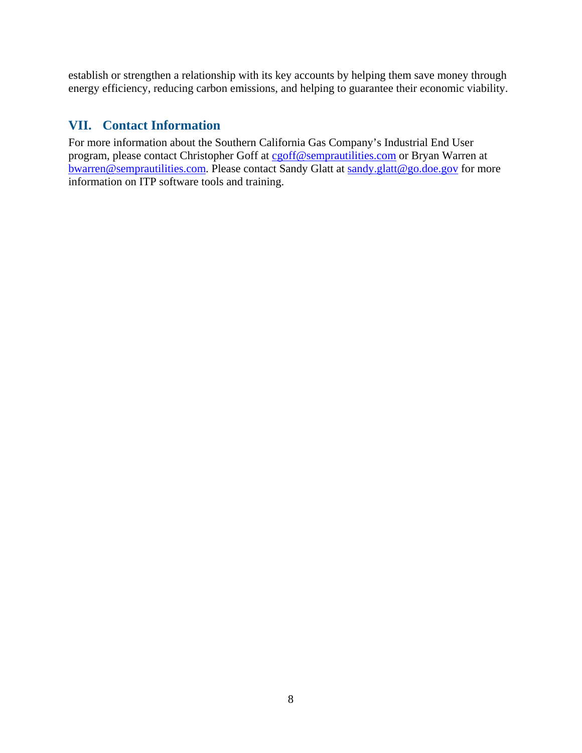establish or strengthen a relationship with its key accounts by helping them save money through energy efficiency, reducing carbon emissions, and helping to guarantee their economic viability.

### **VII. Contact Information**

For more information about the Southern California Gas Company's Industrial End User program, please contact Christopher Goff at cgoff@semprautilities.com or Bryan Warren at bwarren@semprautilities.com. Please contact Sandy Glatt at sandy.glatt@go.doe.gov for more information on ITP software tools and training.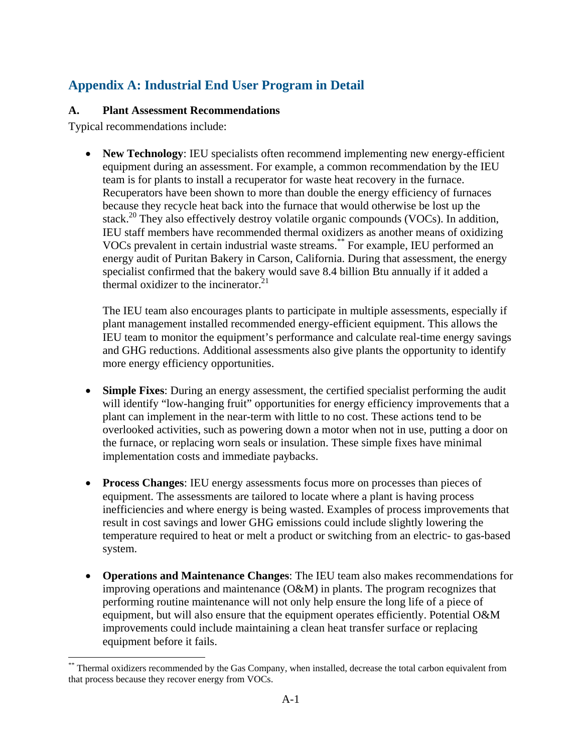# **Appendix A: Industrial End User Program in Detail**

#### **A. Plant Assessment Recommendations**

Typical recommendations include:

 $\overline{a}$ 

• **New Technology**: IEU specialists often recommend implementing new energy-efficient equipment during an assessment. For example, a common recommendation by the IEU team is for plants to install a recuperator for waste heat recovery in the furnace. Recuperators have been shown to more than double the energy efficiency of furnaces because they recycle heat back into the furnace that would otherwise be lost up the stack.<sup>20</sup> They also effectively destroy volatile organic compounds (VOCs). In addition, IEU staff members have recommended thermal oxidizers as another means of oxidizing VOCs prevalent in certain industrial waste streams.\*\* For example, IEU performed an energy audit of Puritan Bakery in Carson, California. During that assessment, the energy specialist confirmed that the bakery would save 8.4 billion Btu annually if it added a thermal oxidizer to the incinerator. $21$ 

The IEU team also encourages plants to participate in multiple assessments, especially if plant management installed recommended energy-efficient equipment. This allows the IEU team to monitor the equipment's performance and calculate real-time energy savings and GHG reductions. Additional assessments also give plants the opportunity to identify more energy efficiency opportunities.

- **Simple Fixes**: During an energy assessment, the certified specialist performing the audit will identify "low-hanging fruit" opportunities for energy efficiency improvements that a plant can implement in the near-term with little to no cost. These actions tend to be overlooked activities, such as powering down a motor when not in use, putting a door on the furnace, or replacing worn seals or insulation. These simple fixes have minimal implementation costs and immediate paybacks.
- **Process Changes**: IEU energy assessments focus more on processes than pieces of equipment. The assessments are tailored to locate where a plant is having process inefficiencies and where energy is being wasted. Examples of process improvements that result in cost savings and lower GHG emissions could include slightly lowering the temperature required to heat or melt a product or switching from an electric- to gas-based system.
- **Operations and Maintenance Changes**: The IEU team also makes recommendations for improving operations and maintenance (O&M) in plants. The program recognizes that performing routine maintenance will not only help ensure the long life of a piece of equipment, but will also ensure that the equipment operates efficiently. Potential O&M improvements could include maintaining a clean heat transfer surface or replacing equipment before it fails.

<sup>\*\*</sup> Thermal oxidizers recommended by the Gas Company, when installed, decrease the total carbon equivalent from that process because they recover energy from VOCs.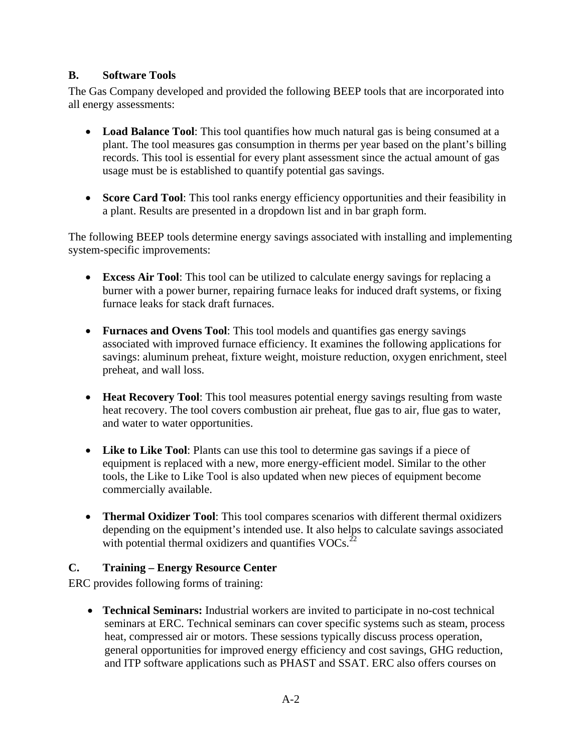#### **B. Software Tools**

The Gas Company developed and provided the following BEEP tools that are incorporated into all energy assessments:

- **Load Balance Tool**: This tool quantifies how much natural gas is being consumed at a plant. The tool measures gas consumption in therms per year based on the plant's billing records. This tool is essential for every plant assessment since the actual amount of gas usage must be is established to quantify potential gas savings.
- **Score Card Tool:** This tool ranks energy efficiency opportunities and their feasibility in a plant. Results are presented in a dropdown list and in bar graph form.

The following BEEP tools determine energy savings associated with installing and implementing system-specific improvements:

- **Excess Air Tool**: This tool can be utilized to calculate energy savings for replacing a burner with a power burner, repairing furnace leaks for induced draft systems, or fixing furnace leaks for stack draft furnaces.
- **Furnaces and Ovens Tool**: This tool models and quantifies gas energy savings associated with improved furnace efficiency. It examines the following applications for savings: aluminum preheat, fixture weight, moisture reduction, oxygen enrichment, steel preheat, and wall loss.
- **Heat Recovery Tool**: This tool measures potential energy savings resulting from waste heat recovery. The tool covers combustion air preheat, flue gas to air, flue gas to water, and water to water opportunities.
- **Like to Like Tool**: Plants can use this tool to determine gas savings if a piece of equipment is replaced with a new, more energy-efficient model. Similar to the other tools, the Like to Like Tool is also updated when new pieces of equipment become commercially available.
- **Thermal Oxidizer Tool**: This tool compares scenarios with different thermal oxidizers depending on the equipment's intended use. It also helps to calculate savings associated with potential thermal oxidizers and quantifies  $VOCs<sup>22</sup>$ .

### **C. Training – Energy Resource Center**

ERC provides following forms of training:

• **Technical Seminars:** Industrial workers are invited to participate in no-cost technical seminars at ERC. Technical seminars can cover specific systems such as steam, process heat, compressed air or motors. These sessions typically discuss process operation, general opportunities for improved energy efficiency and cost savings, GHG reduction, and ITP software applications such as PHAST and SSAT. ERC also offers courses on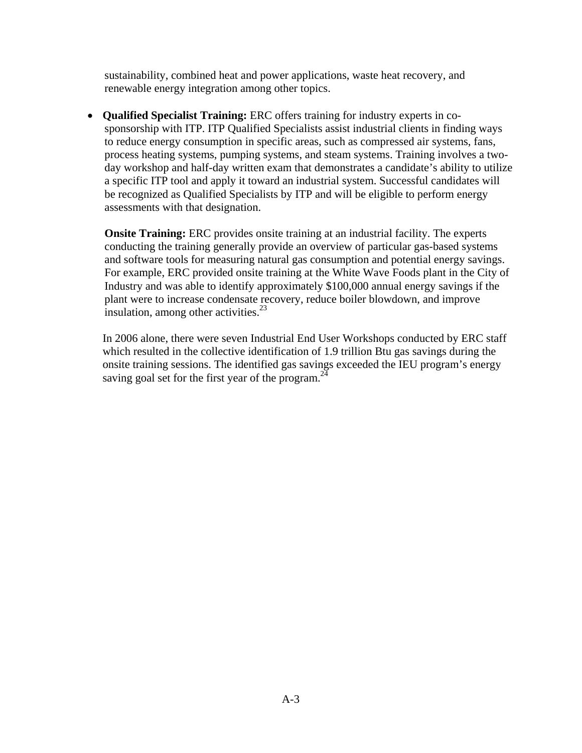sustainability, combined heat and power applications, waste heat recovery, and renewable energy integration among other topics.

• **Qualified Specialist Training:** ERC offers training for industry experts in cosponsorship with ITP. ITP Qualified Specialists assist industrial clients in finding ways to reduce energy consumption in specific areas, such as compressed air systems, fans, process heating systems, pumping systems, and steam systems. Training involves a twoday workshop and half-day written exam that demonstrates a candidate's ability to utilize a specific ITP tool and apply it toward an industrial system. Successful candidates will be recognized as Qualified Specialists by ITP and will be eligible to perform energy assessments with that designation.

**Onsite Training:** ERC provides onsite training at an industrial facility. The experts conducting the training generally provide an overview of particular gas-based systems and software tools for measuring natural gas consumption and potential energy savings. For example, ERC provided onsite training at the White Wave Foods plant in the City of Industry and was able to identify approximately \$100,000 annual energy savings if the plant were to increase condensate recovery, reduce boiler blowdown, and improve insulation, among other activities.<sup>23</sup>

 In 2006 alone, there were seven Industrial End User Workshops conducted by ERC staff which resulted in the collective identification of 1.9 trillion Btu gas savings during the onsite training sessions. The identified gas savings exceeded the IEU program's energy saving goal set for the first year of the program. $^{24}$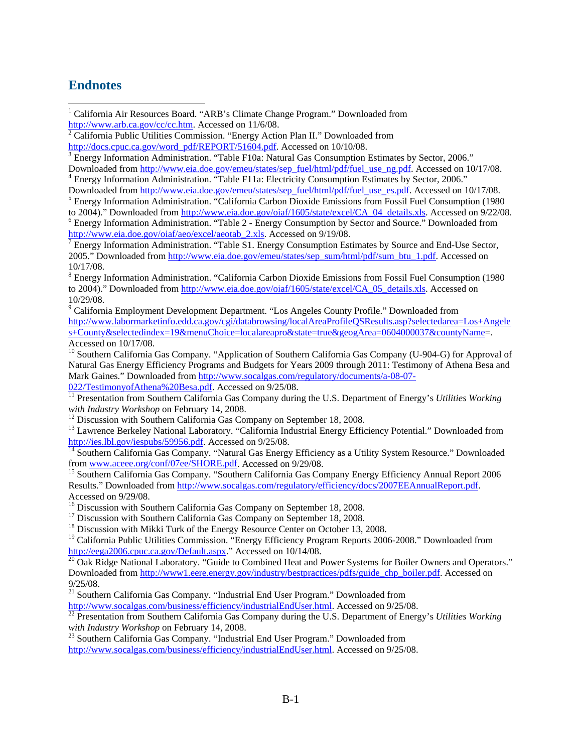### **Endnotes**

 $\overline{a}$ 

- <sup>1</sup> California Air Resources Board. "ARB's Climate Change Program." Downloaded from http://www.arb.ca.gov/cc/cc.htm. Accessed on 11/6/08.
- $\sqrt[2]{2}$  California Public Utilities Commission. "Energy Action Plan II." Downloaded from http://docs.cpuc.ca.gov/word\_pdf/REPORT/51604.pdf. Accessed on 10/10/08.
- <sup>3</sup> Energy Information Administration. "Table F10a: Natural Gas Consumption Estimates by Sector, 2006." Downloaded from http://www.eia.doe.gov/emeu/states/sep\_fuel/html/pdf/fuel\_use\_ng.pdf. Accessed on 10/17/08.
- Energy Information Administration. "Table F11a: Electricity Consumption Estimates by Sector, 2006." Downloaded from http://www.eia.doe.gov/emeu/states/sep\_fuel/html/pdf/fuel\_use\_es.pdf. Accessed on 10/17/08.
- Energy Information Administration. "California Carbon Dioxide Emissions from Fossil Fuel Consumption (1980 to 2004)." Downloaded from http://www.eia.doe.gov/oiaf/1605/state/excel/CA\_04\_details.xls. Accessed on 9/22/08. Energy Information Administration. "Table 2 - Energy Consumption by Sector and Source." Downloaded from

http://www.eia.doe.gov/oiaf/aeo/excel/aeotab\_2.xls. Accessed on 9/19/08.

<sup>9</sup> California Employment Development Department. "Los Angeles County Profile." Downloaded from http://www.labormarketinfo.edd.ca.gov/cgi/databrowsing/localAreaProfileQSResults.asp?selectedarea=Los+Angele s+County&selectedindex=19&menuChoice=localareapro&state=true&geogArea=0604000037&countyName=. Accessed on 10/17/08.

<sup>10</sup> Southern California Gas Company. "Application of Southern California Gas Company (U-904-G) for Approval of Natural Gas Energy Efficiency Programs and Budgets for Years 2009 through 2011: Testimony of Athena Besa and Mark Gaines." Downloaded from http://www.socalgas.com/regulatory/documents/a-08-07-022/TestimonyofAthena%20Besa.pdf. Accessed on 9/25/08.

<sup>11</sup> Presentation from Southern California Gas Company during the U.S. Department of Energy's *Utilities Working with Industry Workshop* on February 14, 2008.

<sup>12</sup> Discussion with Southern California Gas Company on September 18, 2008.

<sup>13</sup> Lawrence Berkeley National Laboratory. "California Industrial Energy Efficiency Potential." Downloaded from

http://ies.lbl.gov/iespubs/59956.pdf. Accessed on 9/25/08.<br><sup>14</sup> Southern California Gas Company. "Natural Gas Energy Efficiency as a Utility System Resource." Downloaded<br>from www.aceee.org/conf/07ee/SHORE.pdf. Accessed on

<sup>15</sup> Southern California Gas Company. "Southern California Gas Company Energy Efficiency Annual Report 2006 Results." Downloaded from http://www.socalgas.com/regulatory/efficiency/docs/2007EEAnnualReport.pdf. Accessed on 9/29/08.

<sup>16</sup> Discussion with Southern California Gas Company on September 18, 2008.

<sup>17</sup> Discussion with Southern California Gas Company on September 18, 2008.

<sup>18</sup> Discussion with Mikki Turk of the Energy Resource Center on October 13, 2008.

<sup>19</sup> California Public Utilities Commission. "Energy Efficiency Program Reports 2006-2008." Downloaded from http://eega2006.cpuc.ca.gov/Default.aspx." Accessed on  $10/14/08$ .

<sup>20</sup> Oak Ridge National Laboratory. "Guide to Combined Heat and Power Systems for Boiler Owners and Operators." Downloaded from http://www1.eere.energy.gov/industry/bestpractices/pdfs/guide\_chp\_boiler.pdf. Accessed on 9/25/08.

<sup>21</sup> Southern California Gas Company. "Industrial End User Program." Downloaded from

http://www.socalgas.com/business/efficiency/industrialEndUser.html. Accessed on 9/25/08. 22 Presentation from Southern California Gas Company during the U.S. Department of Energy's *Utilities Working with Industry Workshop* on February 14, 2008.<br><sup>23</sup> Southern California Gas Company. "Industrial End User Program." Downloaded from

http://www.socalgas.com/business/efficiency/industrialEndUser.html. Accessed on 9/25/08.

Energy Information Administration. "Table S1. Energy Consumption Estimates by Source and End-Use Sector, 2005." Downloaded from http://www.eia.doe.gov/emeu/states/sep\_sum/html/pdf/sum\_btu\_1.pdf. Accessed on 10/17/08.

<sup>&</sup>lt;sup>8</sup> Energy Information Administration. "California Carbon Dioxide Emissions from Fossil Fuel Consumption (1980 to 2004)." Downloaded from http://www.eia.doe.gov/oiaf/1605/state/excel/CA\_05\_details.xls. Accessed on 10/29/08.